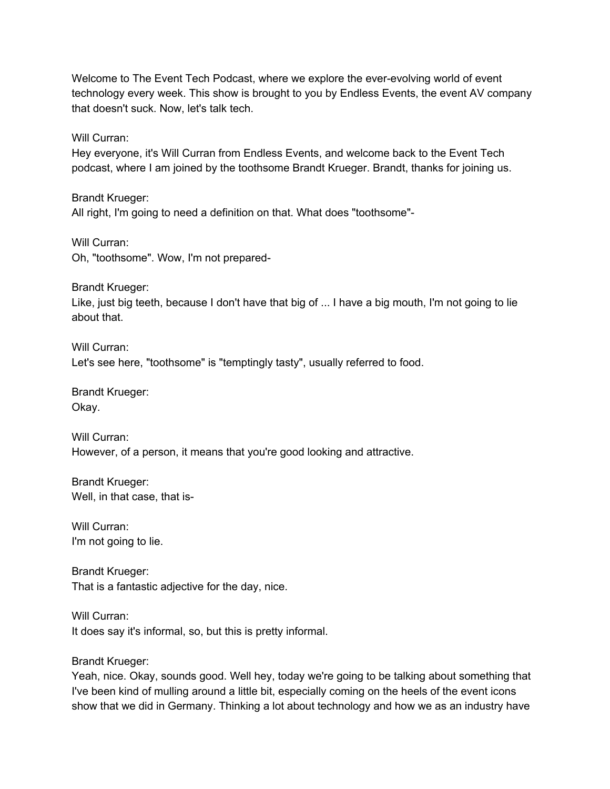Welcome to The Event Tech Podcast, where we explore the ever-evolving world of event technology every week. This show is brought to you by Endless Events, the event AV company that doesn't suck. Now, let's talk tech.

Will Curran:

Hey everyone, it's Will Curran from Endless Events, and welcome back to the Event Tech podcast, where I am joined by the toothsome Brandt Krueger. Brandt, thanks for joining us.

Brandt Krueger: All right, I'm going to need a definition on that. What does "toothsome"-

Will Curran: Oh, "toothsome". Wow, I'm not prepared-

Brandt Krueger: Like, just big teeth, because I don't have that big of ... I have a big mouth, I'm not going to lie about that.

Will Curran: Let's see here, "toothsome" is "temptingly tasty", usually referred to food.

Brandt Krueger: Okay.

Will Curran: However, of a person, it means that you're good looking and attractive.

Brandt Krueger: Well, in that case, that is-

Will Curran: I'm not going to lie.

Brandt Krueger: That is a fantastic adjective for the day, nice.

Will Curran: It does say it's informal, so, but this is pretty informal.

Brandt Krueger:

Yeah, nice. Okay, sounds good. Well hey, today we're going to be talking about something that I've been kind of mulling around a little bit, especially coming on the heels of the event icons show that we did in Germany. Thinking a lot about technology and how we as an industry have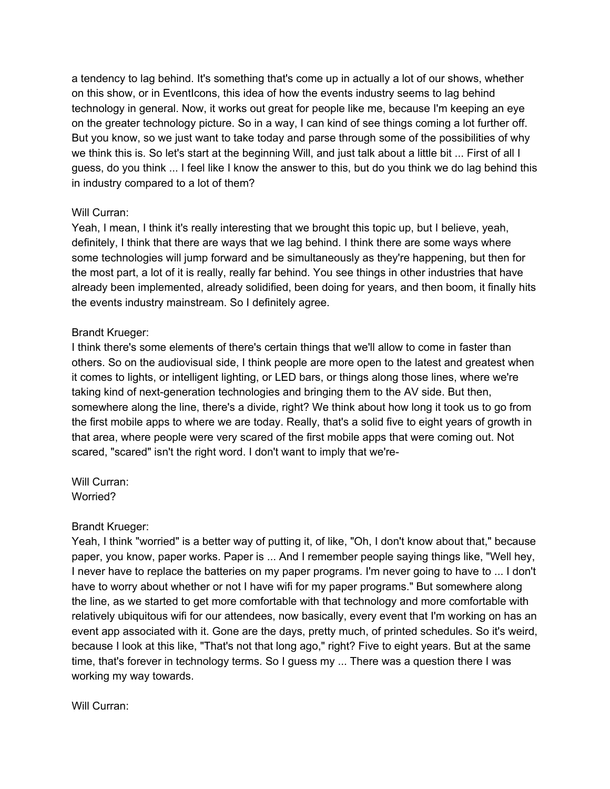a tendency to lag behind. It's something that's come up in actually a lot of our shows, whether on this show, or in EventIcons, this idea of how the events industry seems to lag behind technology in general. Now, it works out great for people like me, because I'm keeping an eye on the greater technology picture. So in a way, I can kind of see things coming a lot further off. But you know, so we just want to take today and parse through some of the possibilities of why we think this is. So let's start at the beginning Will, and just talk about a little bit ... First of all I guess, do you think ... I feel like I know the answer to this, but do you think we do lag behind this in industry compared to a lot of them?

# Will Curran:

Yeah, I mean, I think it's really interesting that we brought this topic up, but I believe, yeah, definitely, I think that there are ways that we lag behind. I think there are some ways where some technologies will jump forward and be simultaneously as they're happening, but then for the most part, a lot of it is really, really far behind. You see things in other industries that have already been implemented, already solidified, been doing for years, and then boom, it finally hits the events industry mainstream. So I definitely agree.

# Brandt Krueger:

I think there's some elements of there's certain things that we'll allow to come in faster than others. So on the audiovisual side, I think people are more open to the latest and greatest when it comes to lights, or intelligent lighting, or LED bars, or things along those lines, where we're taking kind of next-generation technologies and bringing them to the AV side. But then, somewhere along the line, there's a divide, right? We think about how long it took us to go from the first mobile apps to where we are today. Really, that's a solid five to eight years of growth in that area, where people were very scared of the first mobile apps that were coming out. Not scared, "scared" isn't the right word. I don't want to imply that we're-

Will Curran: Worried?

#### Brandt Krueger:

Yeah, I think "worried" is a better way of putting it, of like, "Oh, I don't know about that," because paper, you know, paper works. Paper is ... And I remember people saying things like, "Well hey, I never have to replace the batteries on my paper programs. I'm never going to have to ... I don't have to worry about whether or not I have wifi for my paper programs." But somewhere along the line, as we started to get more comfortable with that technology and more comfortable with relatively ubiquitous wifi for our attendees, now basically, every event that I'm working on has an event app associated with it. Gone are the days, pretty much, of printed schedules. So it's weird, because I look at this like, "That's not that long ago," right? Five to eight years. But at the same time, that's forever in technology terms. So I guess my ... There was a question there I was working my way towards.

Will Curran: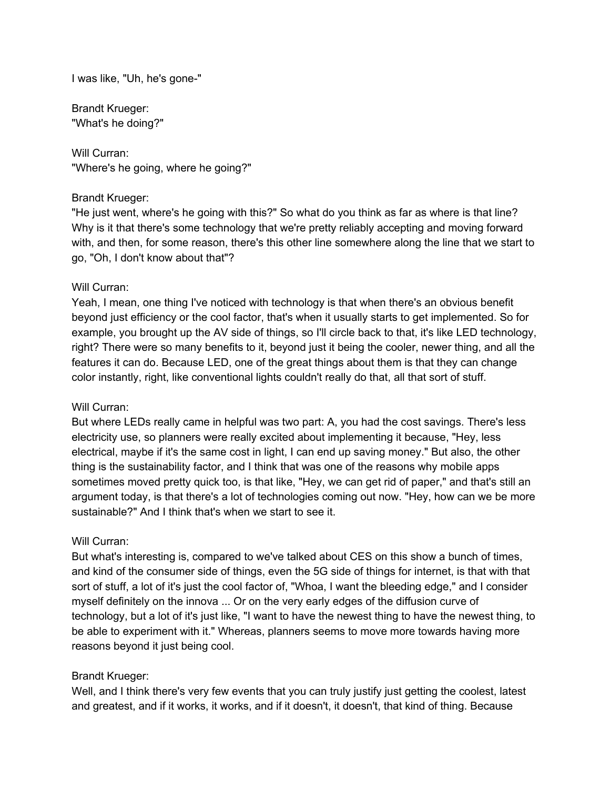I was like, "Uh, he's gone-"

Brandt Krueger: "What's he doing?"

Will Curran: "Where's he going, where he going?"

# Brandt Krueger:

"He just went, where's he going with this?" So what do you think as far as where is that line? Why is it that there's some technology that we're pretty reliably accepting and moving forward with, and then, for some reason, there's this other line somewhere along the line that we start to go, "Oh, I don't know about that"?

# Will Curran:

Yeah, I mean, one thing I've noticed with technology is that when there's an obvious benefit beyond just efficiency or the cool factor, that's when it usually starts to get implemented. So for example, you brought up the AV side of things, so I'll circle back to that, it's like LED technology, right? There were so many benefits to it, beyond just it being the cooler, newer thing, and all the features it can do. Because LED, one of the great things about them is that they can change color instantly, right, like conventional lights couldn't really do that, all that sort of stuff.

#### Will Curran:

But where LEDs really came in helpful was two part: A, you had the cost savings. There's less electricity use, so planners were really excited about implementing it because, "Hey, less electrical, maybe if it's the same cost in light, I can end up saving money." But also, the other thing is the sustainability factor, and I think that was one of the reasons why mobile apps sometimes moved pretty quick too, is that like, "Hey, we can get rid of paper," and that's still an argument today, is that there's a lot of technologies coming out now. "Hey, how can we be more sustainable?" And I think that's when we start to see it.

#### Will Curran:

But what's interesting is, compared to we've talked about CES on this show a bunch of times, and kind of the consumer side of things, even the 5G side of things for internet, is that with that sort of stuff, a lot of it's just the cool factor of, "Whoa, I want the bleeding edge," and I consider myself definitely on the innova ... Or on the very early edges of the diffusion curve of technology, but a lot of it's just like, "I want to have the newest thing to have the newest thing, to be able to experiment with it." Whereas, planners seems to move more towards having more reasons beyond it just being cool.

# Brandt Krueger:

Well, and I think there's very few events that you can truly justify just getting the coolest, latest and greatest, and if it works, it works, and if it doesn't, it doesn't, that kind of thing. Because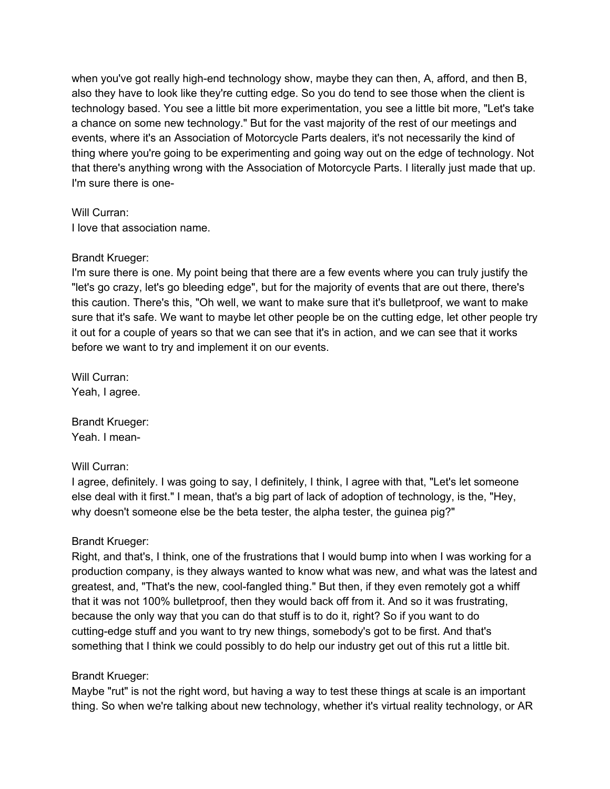when you've got really high-end technology show, maybe they can then, A, afford, and then B, also they have to look like they're cutting edge. So you do tend to see those when the client is technology based. You see a little bit more experimentation, you see a little bit more, "Let's take a chance on some new technology." But for the vast majority of the rest of our meetings and events, where it's an Association of Motorcycle Parts dealers, it's not necessarily the kind of thing where you're going to be experimenting and going way out on the edge of technology. Not that there's anything wrong with the Association of Motorcycle Parts. I literally just made that up. I'm sure there is one-

#### Will Curran:

I love that association name.

# Brandt Krueger:

I'm sure there is one. My point being that there are a few events where you can truly justify the "let's go crazy, let's go bleeding edge", but for the majority of events that are out there, there's this caution. There's this, "Oh well, we want to make sure that it's bulletproof, we want to make sure that it's safe. We want to maybe let other people be on the cutting edge, let other people try it out for a couple of years so that we can see that it's in action, and we can see that it works before we want to try and implement it on our events.

Will Curran: Yeah, I agree.

Brandt Krueger: Yeah. I mean-

# Will Curran:

I agree, definitely. I was going to say, I definitely, I think, I agree with that, "Let's let someone else deal with it first." I mean, that's a big part of lack of adoption of technology, is the, "Hey, why doesn't someone else be the beta tester, the alpha tester, the guinea pig?"

# Brandt Krueger:

Right, and that's, I think, one of the frustrations that I would bump into when I was working for a production company, is they always wanted to know what was new, and what was the latest and greatest, and, "That's the new, cool-fangled thing." But then, if they even remotely got a whiff that it was not 100% bulletproof, then they would back off from it. And so it was frustrating, because the only way that you can do that stuff is to do it, right? So if you want to do cutting-edge stuff and you want to try new things, somebody's got to be first. And that's something that I think we could possibly to do help our industry get out of this rut a little bit.

# Brandt Krueger:

Maybe "rut" is not the right word, but having a way to test these things at scale is an important thing. So when we're talking about new technology, whether it's virtual reality technology, or AR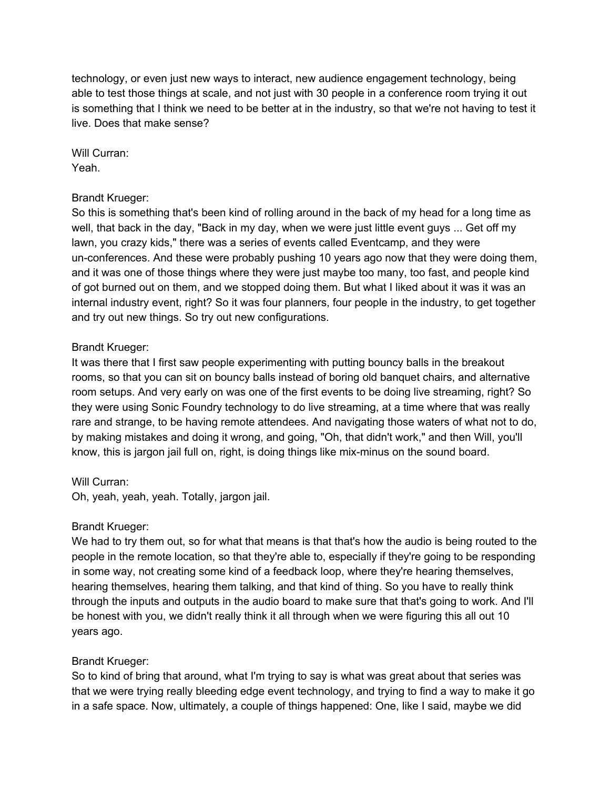technology, or even just new ways to interact, new audience engagement technology, being able to test those things at scale, and not just with 30 people in a conference room trying it out is something that I think we need to be better at in the industry, so that we're not having to test it live. Does that make sense?

Will Curran: Yeah.

# Brandt Krueger:

So this is something that's been kind of rolling around in the back of my head for a long time as well, that back in the day, "Back in my day, when we were just little event guys ... Get off my lawn, you crazy kids," there was a series of events called Eventcamp, and they were un-conferences. And these were probably pushing 10 years ago now that they were doing them, and it was one of those things where they were just maybe too many, too fast, and people kind of got burned out on them, and we stopped doing them. But what I liked about it was it was an internal industry event, right? So it was four planners, four people in the industry, to get together and try out new things. So try out new configurations.

# Brandt Krueger:

It was there that I first saw people experimenting with putting bouncy balls in the breakout rooms, so that you can sit on bouncy balls instead of boring old banquet chairs, and alternative room setups. And very early on was one of the first events to be doing live streaming, right? So they were using Sonic Foundry technology to do live streaming, at a time where that was really rare and strange, to be having remote attendees. And navigating those waters of what not to do, by making mistakes and doing it wrong, and going, "Oh, that didn't work," and then Will, you'll know, this is jargon jail full on, right, is doing things like mix-minus on the sound board.

#### Will Curran:

Oh, yeah, yeah, yeah. Totally, jargon jail.

#### Brandt Krueger:

We had to try them out, so for what that means is that that's how the audio is being routed to the people in the remote location, so that they're able to, especially if they're going to be responding in some way, not creating some kind of a feedback loop, where they're hearing themselves, hearing themselves, hearing them talking, and that kind of thing. So you have to really think through the inputs and outputs in the audio board to make sure that that's going to work. And I'll be honest with you, we didn't really think it all through when we were figuring this all out 10 years ago.

# Brandt Krueger:

So to kind of bring that around, what I'm trying to say is what was great about that series was that we were trying really bleeding edge event technology, and trying to find a way to make it go in a safe space. Now, ultimately, a couple of things happened: One, like I said, maybe we did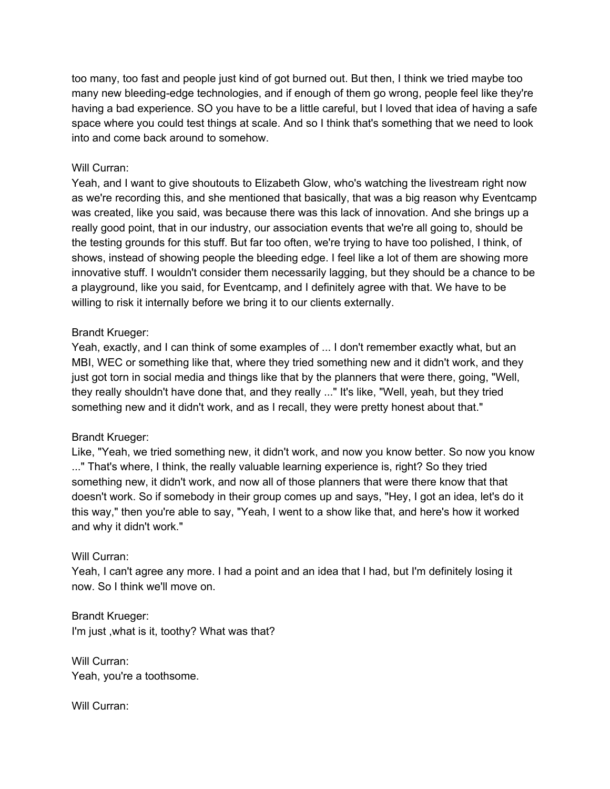too many, too fast and people just kind of got burned out. But then, I think we tried maybe too many new bleeding-edge technologies, and if enough of them go wrong, people feel like they're having a bad experience. SO you have to be a little careful, but I loved that idea of having a safe space where you could test things at scale. And so I think that's something that we need to look into and come back around to somehow.

# Will Curran:

Yeah, and I want to give shoutouts to Elizabeth Glow, who's watching the livestream right now as we're recording this, and she mentioned that basically, that was a big reason why Eventcamp was created, like you said, was because there was this lack of innovation. And she brings up a really good point, that in our industry, our association events that we're all going to, should be the testing grounds for this stuff. But far too often, we're trying to have too polished, I think, of shows, instead of showing people the bleeding edge. I feel like a lot of them are showing more innovative stuff. I wouldn't consider them necessarily lagging, but they should be a chance to be a playground, like you said, for Eventcamp, and I definitely agree with that. We have to be willing to risk it internally before we bring it to our clients externally.

# Brandt Krueger:

Yeah, exactly, and I can think of some examples of ... I don't remember exactly what, but an MBI, WEC or something like that, where they tried something new and it didn't work, and they just got torn in social media and things like that by the planners that were there, going, "Well, they really shouldn't have done that, and they really ..." It's like, "Well, yeah, but they tried something new and it didn't work, and as I recall, they were pretty honest about that."

# Brandt Krueger:

Like, "Yeah, we tried something new, it didn't work, and now you know better. So now you know ..." That's where, I think, the really valuable learning experience is, right? So they tried something new, it didn't work, and now all of those planners that were there know that that doesn't work. So if somebody in their group comes up and says, "Hey, I got an idea, let's do it this way," then you're able to say, "Yeah, I went to a show like that, and here's how it worked and why it didn't work."

#### Will Curran:

Yeah, I can't agree any more. I had a point and an idea that I had, but I'm definitely losing it now. So I think we'll move on.

Brandt Krueger: I'm just ,what is it, toothy? What was that?

Will Curran: Yeah, you're a toothsome.

Will Curran: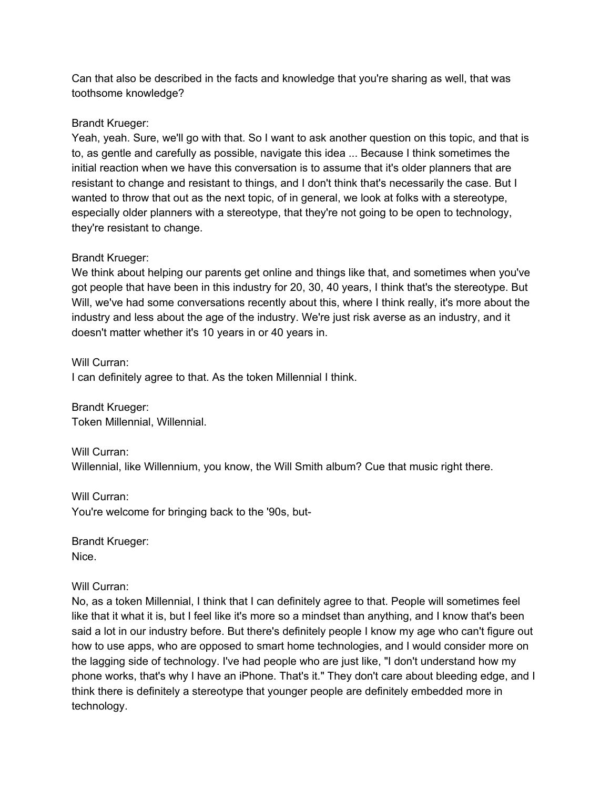Can that also be described in the facts and knowledge that you're sharing as well, that was toothsome knowledge?

# Brandt Krueger:

Yeah, yeah. Sure, we'll go with that. So I want to ask another question on this topic, and that is to, as gentle and carefully as possible, navigate this idea ... Because I think sometimes the initial reaction when we have this conversation is to assume that it's older planners that are resistant to change and resistant to things, and I don't think that's necessarily the case. But I wanted to throw that out as the next topic, of in general, we look at folks with a stereotype, especially older planners with a stereotype, that they're not going to be open to technology, they're resistant to change.

# Brandt Krueger:

We think about helping our parents get online and things like that, and sometimes when you've got people that have been in this industry for 20, 30, 40 years, I think that's the stereotype. But Will, we've had some conversations recently about this, where I think really, it's more about the industry and less about the age of the industry. We're just risk averse as an industry, and it doesn't matter whether it's 10 years in or 40 years in.

Will Curran:

I can definitely agree to that. As the token Millennial I think.

Brandt Krueger: Token Millennial, Willennial.

Will Curran: Willennial, like Willennium, you know, the Will Smith album? Cue that music right there.

Will Curran: You're welcome for bringing back to the '90s, but-

Brandt Krueger: Nice.

#### Will Curran:

No, as a token Millennial, I think that I can definitely agree to that. People will sometimes feel like that it what it is, but I feel like it's more so a mindset than anything, and I know that's been said a lot in our industry before. But there's definitely people I know my age who can't figure out how to use apps, who are opposed to smart home technologies, and I would consider more on the lagging side of technology. I've had people who are just like, "I don't understand how my phone works, that's why I have an iPhone. That's it." They don't care about bleeding edge, and I think there is definitely a stereotype that younger people are definitely embedded more in technology.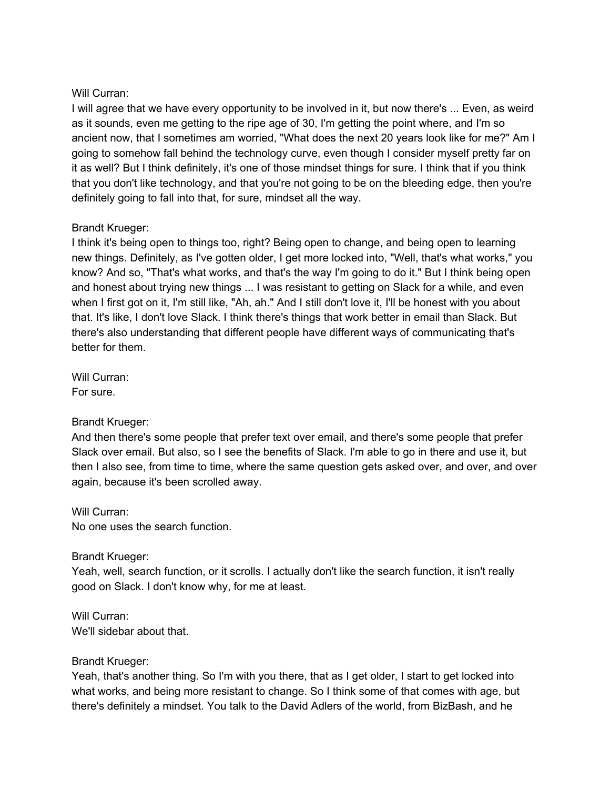### Will Curran:

I will agree that we have every opportunity to be involved in it, but now there's ... Even, as weird as it sounds, even me getting to the ripe age of 30, I'm getting the point where, and I'm so ancient now, that I sometimes am worried, "What does the next 20 years look like for me?" Am I going to somehow fall behind the technology curve, even though I consider myself pretty far on it as well? But I think definitely, it's one of those mindset things for sure. I think that if you think that you don't like technology, and that you're not going to be on the bleeding edge, then you're definitely going to fall into that, for sure, mindset all the way.

# Brandt Krueger:

I think it's being open to things too, right? Being open to change, and being open to learning new things. Definitely, as I've gotten older, I get more locked into, "Well, that's what works," you know? And so, "That's what works, and that's the way I'm going to do it." But I think being open and honest about trying new things ... I was resistant to getting on Slack for a while, and even when I first got on it, I'm still like, "Ah, ah." And I still don't love it, I'll be honest with you about that. It's like, I don't love Slack. I think there's things that work better in email than Slack. But there's also understanding that different people have different ways of communicating that's better for them.

Will Curran: For sure.

#### Brandt Krueger:

And then there's some people that prefer text over email, and there's some people that prefer Slack over email. But also, so I see the benefits of Slack. I'm able to go in there and use it, but then I also see, from time to time, where the same question gets asked over, and over, and over again, because it's been scrolled away.

#### Will Curran:

No one uses the search function.

#### Brandt Krueger:

Yeah, well, search function, or it scrolls. I actually don't like the search function, it isn't really good on Slack. I don't know why, for me at least.

Will Curran: We'll sidebar about that.

#### Brandt Krueger:

Yeah, that's another thing. So I'm with you there, that as I get older, I start to get locked into what works, and being more resistant to change. So I think some of that comes with age, but there's definitely a mindset. You talk to the David Adlers of the world, from BizBash, and he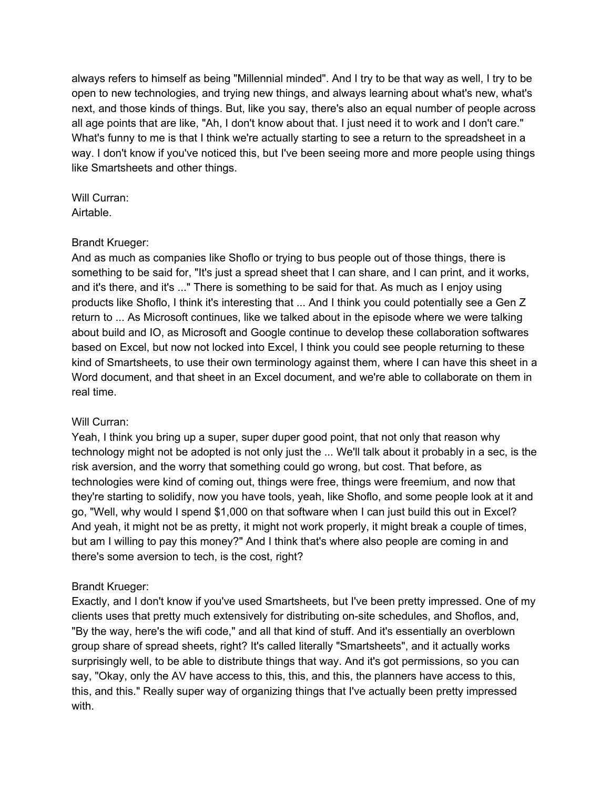always refers to himself as being "Millennial minded". And I try to be that way as well, I try to be open to new technologies, and trying new things, and always learning about what's new, what's next, and those kinds of things. But, like you say, there's also an equal number of people across all age points that are like, "Ah, I don't know about that. I just need it to work and I don't care." What's funny to me is that I think we're actually starting to see a return to the spreadsheet in a way. I don't know if you've noticed this, but I've been seeing more and more people using things like Smartsheets and other things.

Will Curran: Airtable.

#### Brandt Krueger:

And as much as companies like Shoflo or trying to bus people out of those things, there is something to be said for, "It's just a spread sheet that I can share, and I can print, and it works, and it's there, and it's ..." There is something to be said for that. As much as I enjoy using products like Shoflo, I think it's interesting that ... And I think you could potentially see a Gen Z return to ... As Microsoft continues, like we talked about in the episode where we were talking about build and IO, as Microsoft and Google continue to develop these collaboration softwares based on Excel, but now not locked into Excel, I think you could see people returning to these kind of Smartsheets, to use their own terminology against them, where I can have this sheet in a Word document, and that sheet in an Excel document, and we're able to collaborate on them in real time.

#### Will Curran:

Yeah, I think you bring up a super, super duper good point, that not only that reason why technology might not be adopted is not only just the ... We'll talk about it probably in a sec, is the risk aversion, and the worry that something could go wrong, but cost. That before, as technologies were kind of coming out, things were free, things were freemium, and now that they're starting to solidify, now you have tools, yeah, like Shoflo, and some people look at it and go, "Well, why would I spend \$1,000 on that software when I can just build this out in Excel? And yeah, it might not be as pretty, it might not work properly, it might break a couple of times, but am I willing to pay this money?" And I think that's where also people are coming in and there's some aversion to tech, is the cost, right?

#### Brandt Krueger:

Exactly, and I don't know if you've used Smartsheets, but I've been pretty impressed. One of my clients uses that pretty much extensively for distributing on-site schedules, and Shoflos, and, "By the way, here's the wifi code," and all that kind of stuff. And it's essentially an overblown group share of spread sheets, right? It's called literally "Smartsheets", and it actually works surprisingly well, to be able to distribute things that way. And it's got permissions, so you can say, "Okay, only the AV have access to this, this, and this, the planners have access to this, this, and this." Really super way of organizing things that I've actually been pretty impressed with.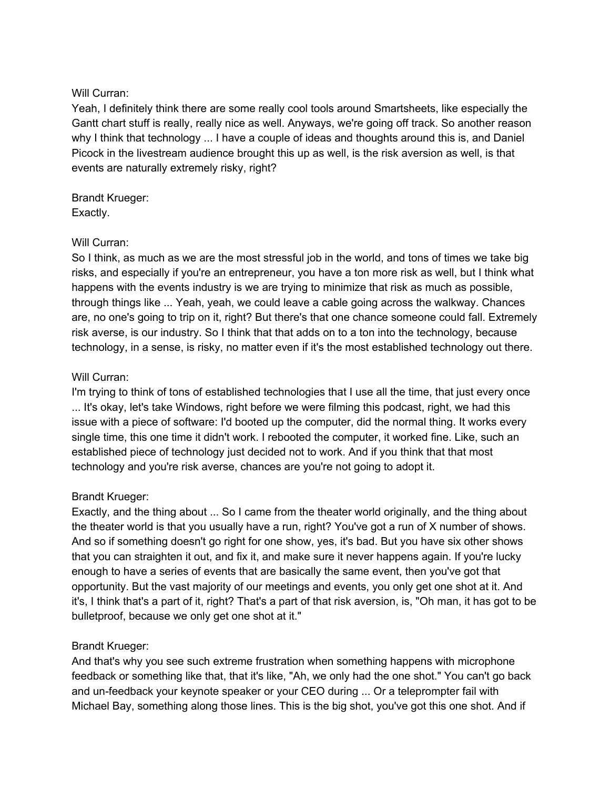### Will Curran:

Yeah, I definitely think there are some really cool tools around Smartsheets, like especially the Gantt chart stuff is really, really nice as well. Anyways, we're going off track. So another reason why I think that technology ... I have a couple of ideas and thoughts around this is, and Daniel Picock in the livestream audience brought this up as well, is the risk aversion as well, is that events are naturally extremely risky, right?

Brandt Krueger: Exactly.

#### Will Curran:

So I think, as much as we are the most stressful job in the world, and tons of times we take big risks, and especially if you're an entrepreneur, you have a ton more risk as well, but I think what happens with the events industry is we are trying to minimize that risk as much as possible, through things like ... Yeah, yeah, we could leave a cable going across the walkway. Chances are, no one's going to trip on it, right? But there's that one chance someone could fall. Extremely risk averse, is our industry. So I think that that adds on to a ton into the technology, because technology, in a sense, is risky, no matter even if it's the most established technology out there.

# Will Curran:

I'm trying to think of tons of established technologies that I use all the time, that just every once ... It's okay, let's take Windows, right before we were filming this podcast, right, we had this issue with a piece of software: I'd booted up the computer, did the normal thing. It works every single time, this one time it didn't work. I rebooted the computer, it worked fine. Like, such an established piece of technology just decided not to work. And if you think that that most technology and you're risk averse, chances are you're not going to adopt it.

# Brandt Krueger:

Exactly, and the thing about ... So I came from the theater world originally, and the thing about the theater world is that you usually have a run, right? You've got a run of X number of shows. And so if something doesn't go right for one show, yes, it's bad. But you have six other shows that you can straighten it out, and fix it, and make sure it never happens again. If you're lucky enough to have a series of events that are basically the same event, then you've got that opportunity. But the vast majority of our meetings and events, you only get one shot at it. And it's, I think that's a part of it, right? That's a part of that risk aversion, is, "Oh man, it has got to be bulletproof, because we only get one shot at it."

# Brandt Krueger:

And that's why you see such extreme frustration when something happens with microphone feedback or something like that, that it's like, "Ah, we only had the one shot." You can't go back and un-feedback your keynote speaker or your CEO during ... Or a teleprompter fail with Michael Bay, something along those lines. This is the big shot, you've got this one shot. And if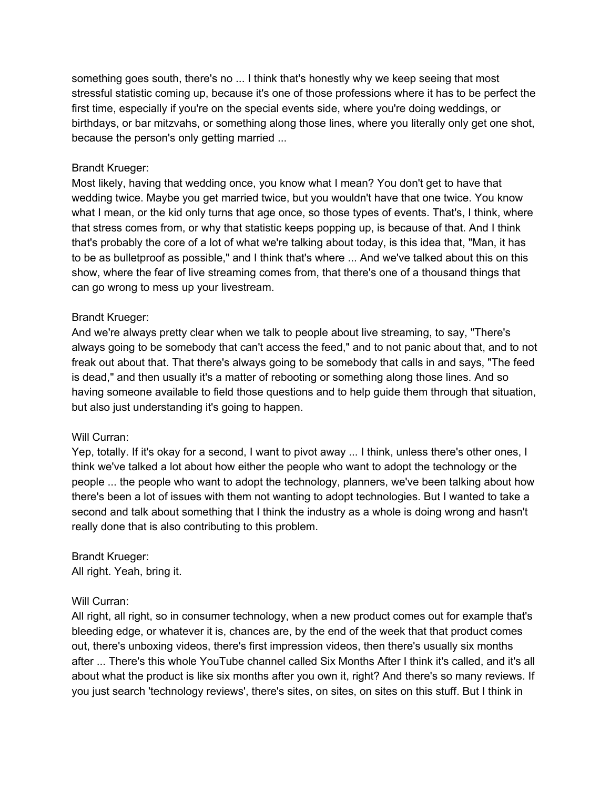something goes south, there's no ... I think that's honestly why we keep seeing that most stressful statistic coming up, because it's one of those professions where it has to be perfect the first time, especially if you're on the special events side, where you're doing weddings, or birthdays, or bar mitzvahs, or something along those lines, where you literally only get one shot, because the person's only getting married ...

### Brandt Krueger:

Most likely, having that wedding once, you know what I mean? You don't get to have that wedding twice. Maybe you get married twice, but you wouldn't have that one twice. You know what I mean, or the kid only turns that age once, so those types of events. That's, I think, where that stress comes from, or why that statistic keeps popping up, is because of that. And I think that's probably the core of a lot of what we're talking about today, is this idea that, "Man, it has to be as bulletproof as possible," and I think that's where ... And we've talked about this on this show, where the fear of live streaming comes from, that there's one of a thousand things that can go wrong to mess up your livestream.

# Brandt Krueger:

And we're always pretty clear when we talk to people about live streaming, to say, "There's always going to be somebody that can't access the feed," and to not panic about that, and to not freak out about that. That there's always going to be somebody that calls in and says, "The feed is dead," and then usually it's a matter of rebooting or something along those lines. And so having someone available to field those questions and to help guide them through that situation, but also just understanding it's going to happen.

#### Will Curran:

Yep, totally. If it's okay for a second, I want to pivot away ... I think, unless there's other ones, I think we've talked a lot about how either the people who want to adopt the technology or the people ... the people who want to adopt the technology, planners, we've been talking about how there's been a lot of issues with them not wanting to adopt technologies. But I wanted to take a second and talk about something that I think the industry as a whole is doing wrong and hasn't really done that is also contributing to this problem.

Brandt Krueger: All right. Yeah, bring it.

#### Will Curran:

All right, all right, so in consumer technology, when a new product comes out for example that's bleeding edge, or whatever it is, chances are, by the end of the week that that product comes out, there's unboxing videos, there's first impression videos, then there's usually six months after ... There's this whole YouTube channel called Six Months After I think it's called, and it's all about what the product is like six months after you own it, right? And there's so many reviews. If you just search 'technology reviews', there's sites, on sites, on sites on this stuff. But I think in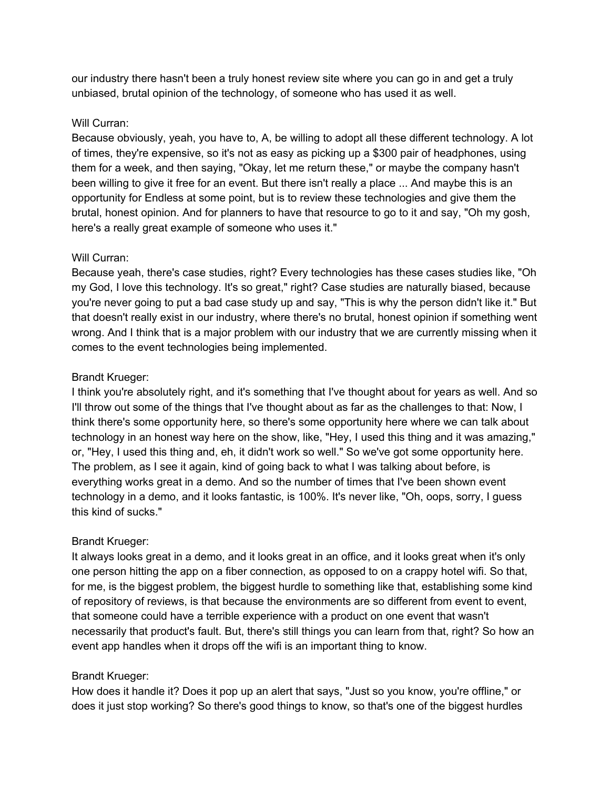our industry there hasn't been a truly honest review site where you can go in and get a truly unbiased, brutal opinion of the technology, of someone who has used it as well.

# Will Curran:

Because obviously, yeah, you have to, A, be willing to adopt all these different technology. A lot of times, they're expensive, so it's not as easy as picking up a \$300 pair of headphones, using them for a week, and then saying, "Okay, let me return these," or maybe the company hasn't been willing to give it free for an event. But there isn't really a place ... And maybe this is an opportunity for Endless at some point, but is to review these technologies and give them the brutal, honest opinion. And for planners to have that resource to go to it and say, "Oh my gosh, here's a really great example of someone who uses it."

# Will Curran:

Because yeah, there's case studies, right? Every technologies has these cases studies like, "Oh my God, I love this technology. It's so great," right? Case studies are naturally biased, because you're never going to put a bad case study up and say, "This is why the person didn't like it." But that doesn't really exist in our industry, where there's no brutal, honest opinion if something went wrong. And I think that is a major problem with our industry that we are currently missing when it comes to the event technologies being implemented.

# Brandt Krueger:

I think you're absolutely right, and it's something that I've thought about for years as well. And so I'll throw out some of the things that I've thought about as far as the challenges to that: Now, I think there's some opportunity here, so there's some opportunity here where we can talk about technology in an honest way here on the show, like, "Hey, I used this thing and it was amazing," or, "Hey, I used this thing and, eh, it didn't work so well." So we've got some opportunity here. The problem, as I see it again, kind of going back to what I was talking about before, is everything works great in a demo. And so the number of times that I've been shown event technology in a demo, and it looks fantastic, is 100%. It's never like, "Oh, oops, sorry, I guess this kind of sucks."

# Brandt Krueger:

It always looks great in a demo, and it looks great in an office, and it looks great when it's only one person hitting the app on a fiber connection, as opposed to on a crappy hotel wifi. So that, for me, is the biggest problem, the biggest hurdle to something like that, establishing some kind of repository of reviews, is that because the environments are so different from event to event, that someone could have a terrible experience with a product on one event that wasn't necessarily that product's fault. But, there's still things you can learn from that, right? So how an event app handles when it drops off the wifi is an important thing to know.

#### Brandt Krueger:

How does it handle it? Does it pop up an alert that says, "Just so you know, you're offline," or does it just stop working? So there's good things to know, so that's one of the biggest hurdles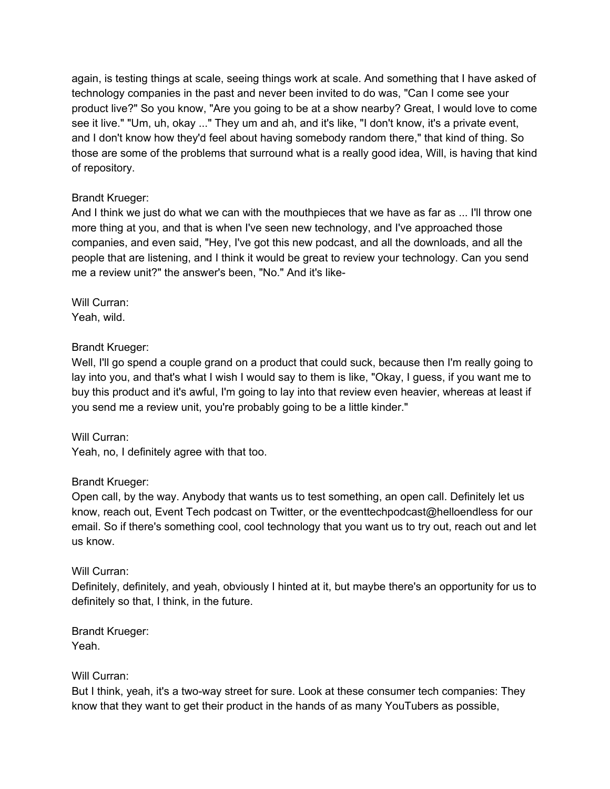again, is testing things at scale, seeing things work at scale. And something that I have asked of technology companies in the past and never been invited to do was, "Can I come see your product live?" So you know, "Are you going to be at a show nearby? Great, I would love to come see it live." "Um, uh, okay ..." They um and ah, and it's like, "I don't know, it's a private event, and I don't know how they'd feel about having somebody random there," that kind of thing. So those are some of the problems that surround what is a really good idea, Will, is having that kind of repository.

# Brandt Krueger:

And I think we just do what we can with the mouthpieces that we have as far as ... I'll throw one more thing at you, and that is when I've seen new technology, and I've approached those companies, and even said, "Hey, I've got this new podcast, and all the downloads, and all the people that are listening, and I think it would be great to review your technology. Can you send me a review unit?" the answer's been, "No." And it's like-

# Will Curran:

Yeah, wild.

# Brandt Krueger:

Well, I'll go spend a couple grand on a product that could suck, because then I'm really going to lay into you, and that's what I wish I would say to them is like, "Okay, I guess, if you want me to buy this product and it's awful, I'm going to lay into that review even heavier, whereas at least if you send me a review unit, you're probably going to be a little kinder."

# Will Curran:

Yeah, no, I definitely agree with that too.

# Brandt Krueger:

Open call, by the way. Anybody that wants us to test something, an open call. Definitely let us know, reach out, Event Tech podcast on Twitter, or the eventtechpodcast@helloendless for our email. So if there's something cool, cool technology that you want us to try out, reach out and let us know.

# Will Curran:

Definitely, definitely, and yeah, obviously I hinted at it, but maybe there's an opportunity for us to definitely so that, I think, in the future.

#### Brandt Krueger: Yeah.

# Will Curran:

But I think, yeah, it's a two-way street for sure. Look at these consumer tech companies: They know that they want to get their product in the hands of as many YouTubers as possible,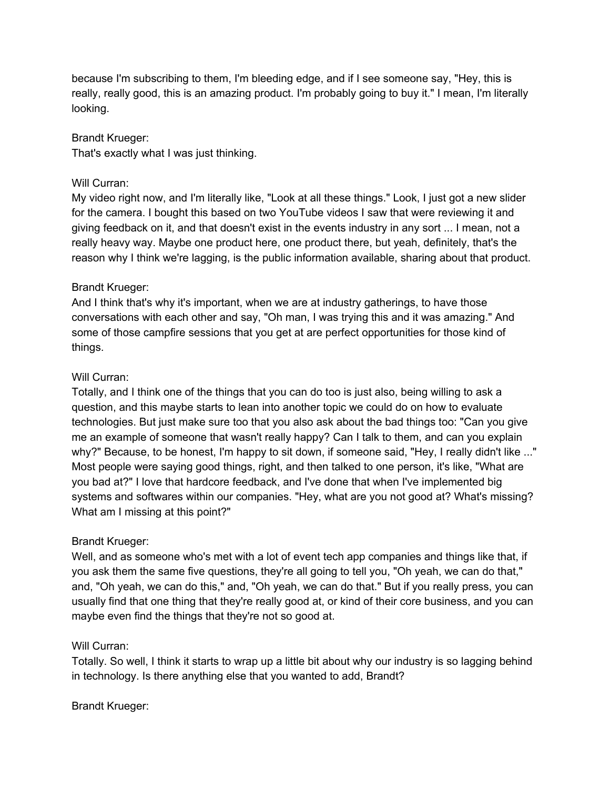because I'm subscribing to them, I'm bleeding edge, and if I see someone say, "Hey, this is really, really good, this is an amazing product. I'm probably going to buy it." I mean, I'm literally looking.

### Brandt Krueger:

That's exactly what I was just thinking.

# Will Curran:

My video right now, and I'm literally like, "Look at all these things." Look, I just got a new slider for the camera. I bought this based on two YouTube videos I saw that were reviewing it and giving feedback on it, and that doesn't exist in the events industry in any sort ... I mean, not a really heavy way. Maybe one product here, one product there, but yeah, definitely, that's the reason why I think we're lagging, is the public information available, sharing about that product.

# Brandt Krueger:

And I think that's why it's important, when we are at industry gatherings, to have those conversations with each other and say, "Oh man, I was trying this and it was amazing." And some of those campfire sessions that you get at are perfect opportunities for those kind of things.

# Will Curran:

Totally, and I think one of the things that you can do too is just also, being willing to ask a question, and this maybe starts to lean into another topic we could do on how to evaluate technologies. But just make sure too that you also ask about the bad things too: "Can you give me an example of someone that wasn't really happy? Can I talk to them, and can you explain why?" Because, to be honest, I'm happy to sit down, if someone said, "Hey, I really didn't like ..." Most people were saying good things, right, and then talked to one person, it's like, "What are you bad at?" I love that hardcore feedback, and I've done that when I've implemented big systems and softwares within our companies. "Hey, what are you not good at? What's missing? What am I missing at this point?"

# Brandt Krueger:

Well, and as someone who's met with a lot of event tech app companies and things like that, if you ask them the same five questions, they're all going to tell you, "Oh yeah, we can do that," and, "Oh yeah, we can do this," and, "Oh yeah, we can do that." But if you really press, you can usually find that one thing that they're really good at, or kind of their core business, and you can maybe even find the things that they're not so good at.

#### Will Curran:

Totally. So well, I think it starts to wrap up a little bit about why our industry is so lagging behind in technology. Is there anything else that you wanted to add, Brandt?

Brandt Krueger: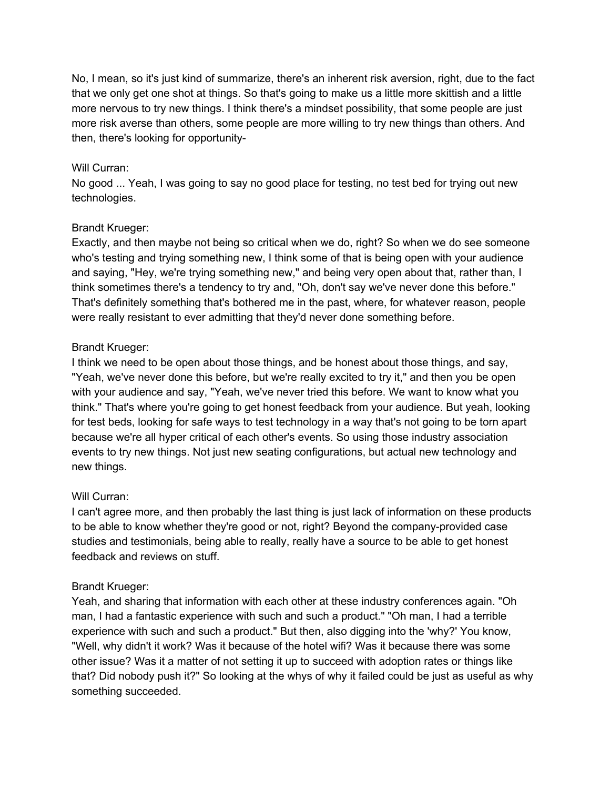No, I mean, so it's just kind of summarize, there's an inherent risk aversion, right, due to the fact that we only get one shot at things. So that's going to make us a little more skittish and a little more nervous to try new things. I think there's a mindset possibility, that some people are just more risk averse than others, some people are more willing to try new things than others. And then, there's looking for opportunity-

### Will Curran:

No good ... Yeah, I was going to say no good place for testing, no test bed for trying out new technologies.

# Brandt Krueger:

Exactly, and then maybe not being so critical when we do, right? So when we do see someone who's testing and trying something new, I think some of that is being open with your audience and saying, "Hey, we're trying something new," and being very open about that, rather than, I think sometimes there's a tendency to try and, "Oh, don't say we've never done this before." That's definitely something that's bothered me in the past, where, for whatever reason, people were really resistant to ever admitting that they'd never done something before.

# Brandt Krueger:

I think we need to be open about those things, and be honest about those things, and say, "Yeah, we've never done this before, but we're really excited to try it," and then you be open with your audience and say, "Yeah, we've never tried this before. We want to know what you think." That's where you're going to get honest feedback from your audience. But yeah, looking for test beds, looking for safe ways to test technology in a way that's not going to be torn apart because we're all hyper critical of each other's events. So using those industry association events to try new things. Not just new seating configurations, but actual new technology and new things.

#### Will Curran:

I can't agree more, and then probably the last thing is just lack of information on these products to be able to know whether they're good or not, right? Beyond the company-provided case studies and testimonials, being able to really, really have a source to be able to get honest feedback and reviews on stuff.

#### Brandt Krueger:

Yeah, and sharing that information with each other at these industry conferences again. "Oh man, I had a fantastic experience with such and such a product." "Oh man, I had a terrible experience with such and such a product." But then, also digging into the 'why?' You know, "Well, why didn't it work? Was it because of the hotel wifi? Was it because there was some other issue? Was it a matter of not setting it up to succeed with adoption rates or things like that? Did nobody push it?" So looking at the whys of why it failed could be just as useful as why something succeeded.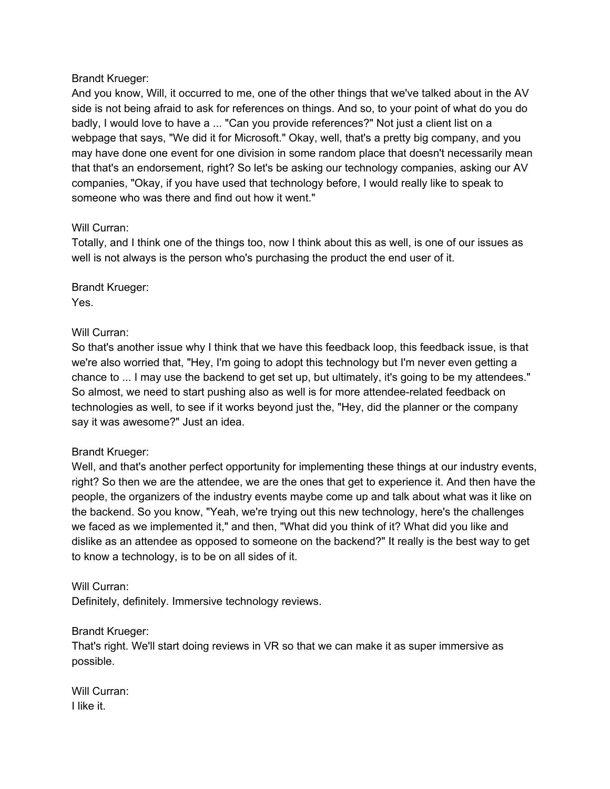# Brandt Krueger:

And you know, Will, it occurred to me, one of the other things that we've talked about in the AV side is not being afraid to ask for references on things. And so, to your point of what do you do badly, I would love to have a ... "Can you provide references?" Not just a client list on a webpage that says, "We did it for Microsoft." Okay, well, that's a pretty big company, and you may have done one event for one division in some random place that doesn't necessarily mean that that's an endorsement, right? So let's be asking our technology companies, asking our AV companies, "Okay, if you have used that technology before, I would really like to speak to someone who was there and find out how it went."

# Will Curran:

Totally, and I think one of the things too, now I think about this as well, is one of our issues as well is not always is the person who's purchasing the product the end user of it.

Brandt Krueger: Yes.

# Will Curran:

So that's another issue why I think that we have this feedback loop, this feedback issue, is that we're also worried that, "Hey, I'm going to adopt this technology but I'm never even getting a chance to ... I may use the backend to get set up, but ultimately, it's going to be my attendees." So almost, we need to start pushing also as well is for more attendee-related feedback on technologies as well, to see if it works beyond just the, "Hey, did the planner or the company say it was awesome?" Just an idea.

# Brandt Krueger:

Well, and that's another perfect opportunity for implementing these things at our industry events, right? So then we are the attendee, we are the ones that get to experience it. And then have the people, the organizers of the industry events maybe come up and talk about what was it like on the backend. So you know, "Yeah, we're trying out this new technology, here's the challenges we faced as we implemented it," and then, "What did you think of it? What did you like and dislike as an attendee as opposed to someone on the backend?" It really is the best way to get to know a technology, is to be on all sides of it.

#### Will Curran:

Definitely, definitely. Immersive technology reviews.

#### Brandt Krueger:

That's right. We'll start doing reviews in VR so that we can make it as super immersive as possible.

Will Curran: I like it.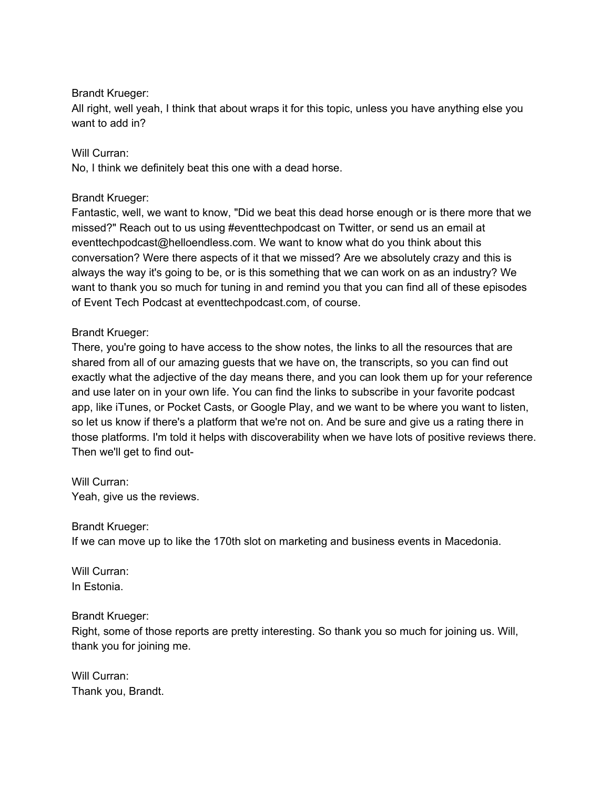Brandt Krueger:

All right, well yeah, I think that about wraps it for this topic, unless you have anything else you want to add in?

Will Curran:

No, I think we definitely beat this one with a dead horse.

# Brandt Krueger:

Fantastic, well, we want to know, "Did we beat this dead horse enough or is there more that we missed?" Reach out to us using #eventtechpodcast on Twitter, or send us an email at eventtechpodcast@helloendless.com. We want to know what do you think about this conversation? Were there aspects of it that we missed? Are we absolutely crazy and this is always the way it's going to be, or is this something that we can work on as an industry? We want to thank you so much for tuning in and remind you that you can find all of these episodes of Event Tech Podcast at eventtechpodcast.com, of course.

# Brandt Krueger:

There, you're going to have access to the show notes, the links to all the resources that are shared from all of our amazing guests that we have on, the transcripts, so you can find out exactly what the adjective of the day means there, and you can look them up for your reference and use later on in your own life. You can find the links to subscribe in your favorite podcast app, like iTunes, or Pocket Casts, or Google Play, and we want to be where you want to listen, so let us know if there's a platform that we're not on. And be sure and give us a rating there in those platforms. I'm told it helps with discoverability when we have lots of positive reviews there. Then we'll get to find out-

Will Curran: Yeah, give us the reviews.

Brandt Krueger: If we can move up to like the 170th slot on marketing and business events in Macedonia.

Will Curran: In Estonia.

# Brandt Krueger:

Right, some of those reports are pretty interesting. So thank you so much for joining us. Will, thank you for joining me.

Will Curran: Thank you, Brandt.